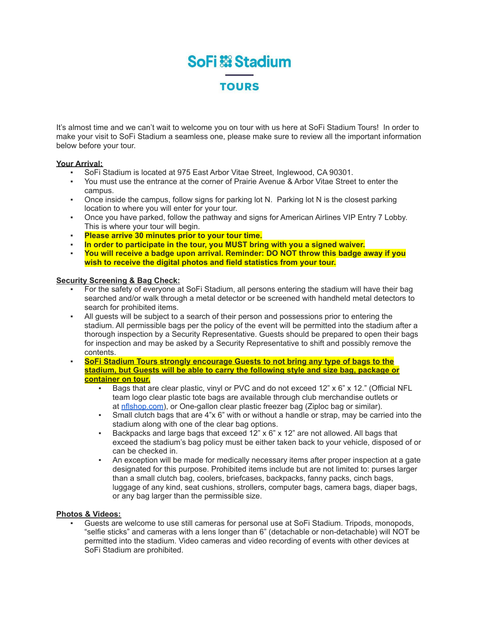# **SoFi & Stadium TOURS**

It's almost time and we can't wait to welcome you on tour with us here at SoFi Stadium Tours! In order to make your visit to SoFi Stadium a seamless one, please make sure to review all the important information below before your tour.

### **Your Arrival:**

- SoFi Stadium is located at 975 East Arbor Vitae Street, Inglewood, CA 90301.
- You must use the entrance at the corner of Prairie Avenue & Arbor Vitae Street to enter the campus.
- Once inside the campus, follow signs for parking lot N. Parking lot N is the closest parking location to where you will enter for your tour.
- Once you have parked, follow the pathway and signs for American Airlines VIP Entry 7 Lobby. This is where your tour will begin.
- **Please arrive 30 minutes prior to your tour time.**
- **In order to participate in the tour, you MUST bring with you a signed waiver.**
- **You will receive a badge upon arrival. Reminder: DO NOT throw this badge away if you wish to receive the digital photos and field statistics from your tour.**

#### **Security Screening & Bag Check:**

- For the safety of everyone at SoFi Stadium, all persons entering the stadium will have their bag searched and/or walk through a metal detector or be screened with handheld metal detectors to search for prohibited items.
- All guests will be subject to a search of their person and possessions prior to entering the stadium. All permissible bags per the policy of the event will be permitted into the stadium after a thorough inspection by a Security Representative. Guests should be prepared to open their bags for inspection and may be asked by a Security Representative to shift and possibly remove the contents.
- **SoFi Stadium Tours strongly encourage Guests to not bring any type of bags to the stadium, but Guests will be able to carry the following style and size bag, package or container on tour.**
	- **•** Bags that are clear plastic, vinyl or PVC and do not exceed  $12" \times 6" \times 12."$  (Official NFL team logo clear plastic tote bags are available through club merchandise outlets or at [nflshop.com](http://nflshop.com/)), or One-gallon clear plastic freezer bag (Ziploc bag or similar).
	- **•** Small clutch bags that are  $4$ "x  $6$ " with or without a handle or strap, may be carried into the stadium along with one of the clear bag options.
	- Backpacks and large bags that exceed  $12" \times 6" \times 12"$  are not allowed. All bags that exceed the stadium's bag policy must be either taken back to your vehicle, disposed of or can be checked in.
	- An exception will be made for medically necessary items after proper inspection at a gate designated for this purpose. Prohibited items include but are not limited to: purses larger than a small clutch bag, coolers, briefcases, backpacks, fanny packs, cinch bags, luggage of any kind, seat cushions, strollers, computer bags, camera bags, diaper bags, or any bag larger than the permissible size.

#### **Photos & Videos:**

Guests are welcome to use still cameras for personal use at SoFi Stadium. Tripods, monopods, "selfie sticks" and cameras with a lens longer than 6" (detachable or non-detachable) will NOT be permitted into the stadium. Video cameras and video recording of events with other devices at SoFi Stadium are prohibited.